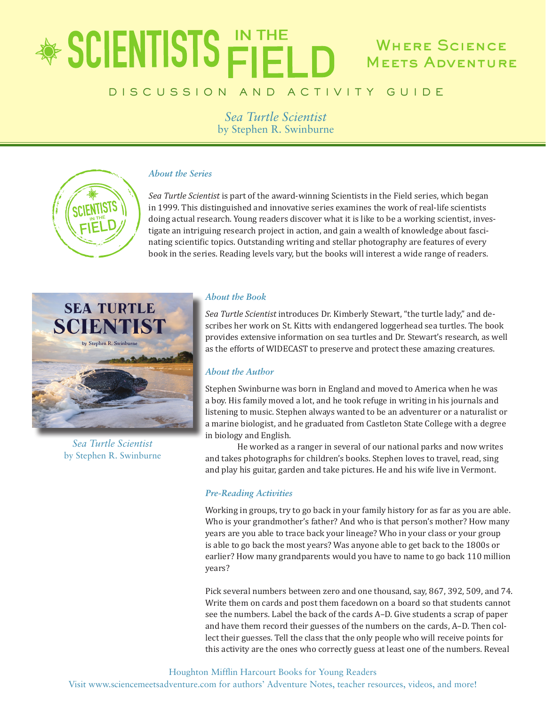### \* SCIENTISTS FIELD WHERE SCIENCE Meets Adventure

### D I S C U S S I O N A N D A C T I V I T Y G U I D E

*Sea Turtle Scientist* by Stephen R. Swinburne



### *About the Series*

*Sea Turtle Scientist* is part of the award-winning Scientists in the Field series, which began in 1999. This distinguished and innovative series examines the work of real-life scientists doing actual research. Young readers discover what it is like to be a working scientist, investigate an intriguing research project in action, and gain a wealth of knowledge about fascinating scientific topics. Outstanding writing and stellar photography are features of every book in the series. Reading levels vary, but the books will interest a wide range of readers.



*Sea Turtle Scientist* by Stephen R. Swinburne

### *About the Book*

*Sea Turtle Scientist* introduces Dr. Kimberly Stewart, "the turtle lady," and describes her work on St. Kitts with endangered loggerhead sea turtles. The book provides extensive information on sea turtles and Dr. Stewart's research, as well as the efforts of WIDECAST to preserve and protect these amazing creatures.

### *About the Author*

Stephen Swinburne was born in England and moved to America when he was a boy. His family moved a lot, and he took refuge in writing in his journals and listening to music. Stephen always wanted to be an adventurer or a naturalist or a marine biologist, and he graduated from Castleton State College with a degree in biology and English.

He worked as a ranger in several of our national parks and now writes and takes photographs for children's books. Stephen loves to travel, read, sing and play his guitar, garden and take pictures. He and his wife live in Vermont.

### *Pre-Reading Activities*

Working in groups, try to go back in your family history for as far as you are able. Who is your grandmother's father? And who is that person's mother? How many years are you able to trace back your lineage? Who in your class or your group is able to go back the most years? Was anyone able to get back to the 1800s or earlier? How many grandparents would you have to name to go back 110 million years?

Pick several numbers between zero and one thousand, say, 867, 392, 509, and 74. Write them on cards and post them facedown on a board so that students cannot see the numbers. Label the back of the cards A–D. Give students a scrap of paper and have them record their guesses of the numbers on the cards, A–D. Then collect their guesses. Tell the class that the only people who will receive points for this activity are the ones who correctly guess at least one of the numbers. Reveal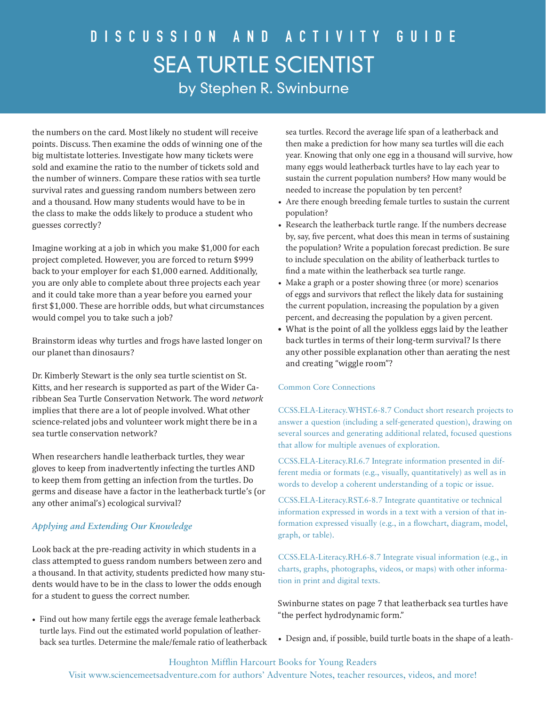the numbers on the card. Most likely no student will receive points. Discuss. Then examine the odds of winning one of the big multistate lotteries. Investigate how many tickets were sold and examine the ratio to the number of tickets sold and the number of winners. Compare these ratios with sea turtle survival rates and guessing random numbers between zero and a thousand. How many students would have to be in the class to make the odds likely to produce a student who guesses correctly?

Imagine working at a job in which you make \$1,000 for each project completed. However, you are forced to return \$999 back to your employer for each \$1,000 earned. Additionally, you are only able to complete about three projects each year and it could take more than a year before you earned your first \$1,000. These are horrible odds, but what circumstances would compel you to take such a job?

Brainstorm ideas why turtles and frogs have lasted longer on our planet than dinosaurs?

Dr. Kimberly Stewart is the only sea turtle scientist on St. Kitts, and her research is supported as part of the Wider Caribbean Sea Turtle Conservation Network. The word *network* implies that there are a lot of people involved. What other science-related jobs and volunteer work might there be in a sea turtle conservation network?

When researchers handle leatherback turtles, they wear gloves to keep from inadvertently infecting the turtles AND to keep them from getting an infection from the turtles. Do germs and disease have a factor in the leatherback turtle's (or any other animal's) ecological survival?

### *Applying and Extending Our Knowledge*

Look back at the pre-reading activity in which students in a class attempted to guess random numbers between zero and a thousand. In that activity, students predicted how many students would have to be in the class to lower the odds enough for a student to guess the correct number.

• Find out how many fertile eggs the average female leatherback turtle lays. Find out the estimated world population of leatherback sea turtles. Determine the male/female ratio of leatherback sea turtles. Record the average life span of a leatherback and then make a prediction for how many sea turtles will die each year. Knowing that only one egg in a thousand will survive, how many eggs would leatherback turtles have to lay each year to sustain the current population numbers? How many would be needed to increase the population by ten percent?

- Are there enough breeding female turtles to sustain the current population?
- Research the leatherback turtle range. If the numbers decrease by, say, five percent, what does this mean in terms of sustaining the population? Write a population forecast prediction. Be sure to include speculation on the ability of leatherback turtles to find a mate within the leatherback sea turtle range.
- Make a graph or a poster showing three (or more) scenarios of eggs and survivors that reflect the likely data for sustaining the current population, increasing the population by a given percent, and decreasing the population by a given percent.
- What is the point of all the yolkless eggs laid by the leather back turtles in terms of their long-term survival? Is there any other possible explanation other than aerating the nest and creating "wiggle room"?

### Common Core Connections

CCSS.ELA-Literacy.WHST.6-8.7 Conduct short research projects to answer a question (including a self-generated question), drawing on several sources and generating additional related, focused questions that allow for multiple avenues of exploration.

CCSS.ELA-Literacy.RI.6.7 Integrate information presented in different media or formats (e.g., visually, quantitatively) as well as in words to develop a coherent understanding of a topic or issue.

CCSS.ELA-Literacy.RST.6-8.7 Integrate quantitative or technical information expressed in words in a text with a version of that information expressed visually (e.g., in a flowchart, diagram, model, graph, or table).

CCSS.ELA-Literacy.RH.6-8.7 Integrate visual information (e.g., in charts, graphs, photographs, videos, or maps) with other information in print and digital texts.

Swinburne states on page 7 that leatherback sea turtles have "the perfect hydrodynamic form."

• Design and, if possible, build turtle boats in the shape of a leath-

### Houghton Mifflin Harcourt Books for Young Readers Visit www.sciencemeetsadventure.com for authors' Adventure Notes, teacher resources, videos, and more!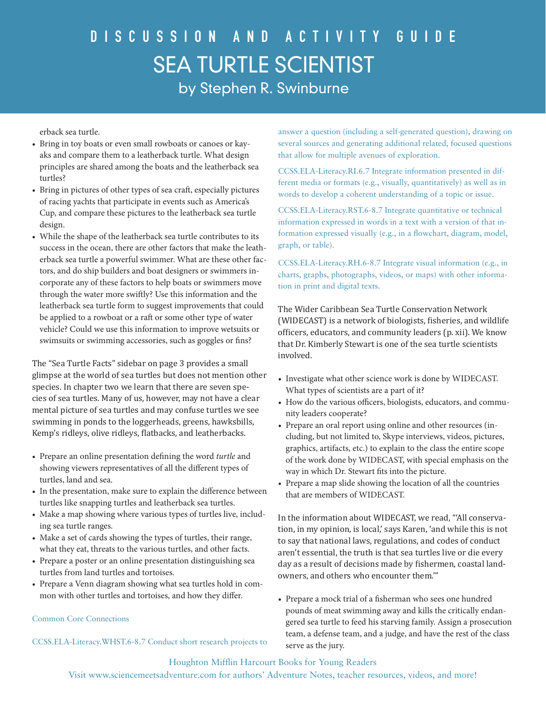erback sea turtle.

- Bring in toy boats or even small rowboats or canoes or kayaks and compare them to a leatherback turtle. What design principles are shared among the boats and the leatherback sea turtles?
- Bring in pictures of other types of sea craft, especially pictures of racing yachts that participate in events such as America's Cup, and compare these pictures to the leatherback sea turtle design.
- While the shape of the leatherback sea turtle contributes to its success in the ocean, there are other factors that make the leatherback sea turtle a powerful swimmer. What are these other factors, and do ship builders and boat designers or swimmers incorporate any of these factors to help boats or swimmers move through the water more swiftly? Use this information and the leatherback sea turtle form to suggest improvements that could be applied to a rowboat or a raft or some other type of water vehicle? Could we use this information to improve wetsuits or swimsuits or swimming accessories, such as goggles or fins?

The "Sea Turtle Facts" sidebar on page 3 provides a small glimpse at the world of sea turtles but does not mention other species. In chapter two we learn that there are seven species of sea turtles. Many of us, however, may not have a clear mental picture of sea turtles and may confuse turtles we see swimming in ponds to the loggerheads, greens, hawksbills, Kemp's ridleys, olive ridleys, flatbacks, and leatherbacks.

- Prepare an online presentation defining the word *turtle* and showing viewers representatives of all the different types of turtles, land and sea.
- In the presentation, make sure to explain the difference between turtles like snapping turtles and leatherback sea turtles.
- Make a map showing where various types of turtles live, including sea turtle ranges.
- Make a set of cards showing the types of turtles, their range, what they eat, threats to the various turtles, and other facts.
- Prepare a poster or an online presentation distinguishing sea turtles from land turtles and tortoises.
- Prepare a Venn diagram showing what sea turtles hold in common with other turtles and tortoises, and how they differ.

### Common Core Connections

CCSS.ELA-Literacy.WHST.6-8.7 Conduct short research projects to

answer a question (including a self-generated question), drawing on several sources and generating additional related, focused questions that allow for multiple avenues of exploration.

CCSS.ELA-Literacy.RI.6.7 Integrate information presented in different media or formats (e.g., visually, quantitatively) as well as in words to develop a coherent understanding of a topic or issue.

CCSS.ELA-Literacy.RST.6-8.7 Integrate quantitative or technical information expressed in words in a text with a version of that information expressed visually (e.g., in a flowchart, diagram, model, graph, or table).

CCSS.ELA-Literacy.RH.6-8.7 Integrate visual information (e.g., in charts, graphs, photographs, videos, or maps) with other information in print and digital texts.

The Wider Caribbean Sea Turtle Conservation Network (WIDECAST) is a network of biologists, fisheries, and wildlife officers, educators, and community leaders (p. xii). We know that Dr. Kimberly Stewart is one of the sea turtle scientists involved.

- Investigate what other science work is done by WIDECAST. What types of scientists are a part of it?
- How do the various officers, biologists, educators, and community leaders cooperate?
- Prepare an oral report using online and other resources (including, but not limited to, Skype interviews, videos, pictures, graphics, artifacts, etc.) to explain to the class the entire scope of the work done by WIDECAST, with special emphasis on the way in which Dr. Stewart fits into the picture.
- Prepare a map slide showing the location of all the countries that are members of WIDECAST.

In the information about WIDECAST, we read, "'All conservation, in my opinion, is local,' says Karen, 'and while this is not to say that national laws, regulations, and codes of conduct aren't essential, the truth is that sea turtles live or die every day as a result of decisions made by fishermen, coastal landowners, and others who encounter them.'"

• Prepare a mock trial of a fisherman who sees one hundred pounds of meat swimming away and kills the critically endangered sea turtle to feed his starving family. Assign a prosecution team, a defense team, and a judge, and have the rest of the class serve as the jury.

Houghton Mifflin Harcourt Books for Young Readers

Visit www.sciencemeetsadventure.com for authors' Adventure Notes, teacher resources, videos, and more!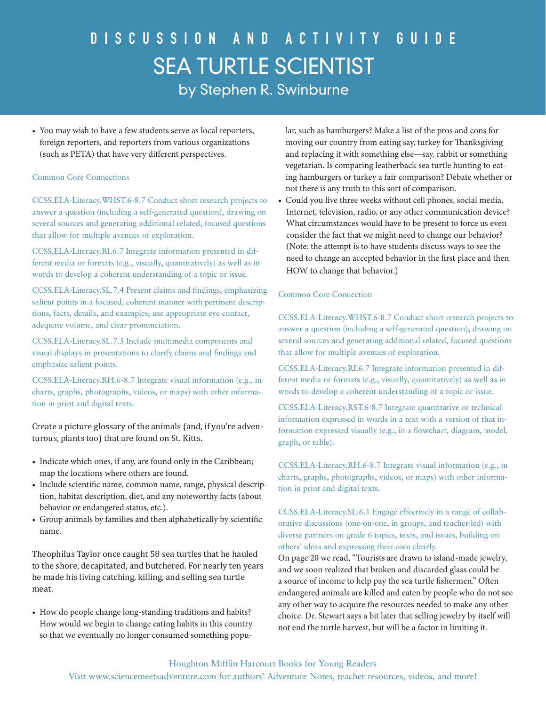• You may wish to have a few students serve as local reporters, foreign reporters, and reporters from various organizations (such as PETA) that have very different perspectives.

### Common Core Connections

CCSS.ELA-Literacy.WHST.6-8.7 Conduct short research projects to answer a question (including a self-generated question), drawing on several sources and generating additional related, focused questions that allow for multiple avenues of exploration.

CCSS.ELA-Literacy.RI.6.7 Integrate information presented in different media or formats (e.g., visually, quantitatively) as well as in words to develop a coherent understanding of a topic or issue.

CCSS.ELA-Literacy.SL.7.4 Present claims and findings, emphasizing salient points in a focused, coherent manner with pertinent descriptions, facts, details, and examples; use appropriate eye contact, adequate volume, and clear pronunciation.

CCSS.ELA-Literacy.SL.7.5 Include multimedia components and visual displays in presentations to clarify claims and findings and emphasize salient points.

CCSS.ELA-Literacy.RH.6-8.7 Integrate visual information (e.g., in charts, graphs, photographs, videos, or maps) with other information in print and digital texts.

Create a picture glossary of the animals (and, if you're adventurous, plants too) that are found on St. Kitts.

- Indicate which ones, if any, are found only in the Caribbean; map the locations where others are found.
- Include scientific name, common name, range, physical description, habitat description, diet, and any noteworthy facts (about behavior or endangered status, etc.).
- Group animals by families and then alphabetically by scientific name.

Theophilus Taylor once caught 58 sea turtles that he hauled to the shore, decapitated, and butchered. For nearly ten years he made his living catching, killing, and selling sea turtle meat.

• How do people change long-standing traditions and habits? How would we begin to change eating habits in this country so that we eventually no longer consumed something popular, such as hamburgers? Make a list of the pros and cons for moving our country from eating say, turkey for Thanksgiving and replacing it with something else—say, rabbit or something vegetarian. Is comparing leatherback sea turtle hunting to eating hamburgers or turkey a fair comparison? Debate whether or not there is any truth to this sort of comparison.

• Could you live three weeks without cell phones, social media, Internet, television, radio, or any other communication device? What circumstances would have to be present to force us even consider the fact that we might need to change our behavior? (Note: the attempt is to have students discuss ways to see the need to change an accepted behavior in the first place and then HOW to change that behavior.)

#### Common Core Connection

CCSS.ELA-Literacy.WHST.6-8.7 Conduct short research projects to answer a question (including a self-generated question), drawing on several sources and generating additional related, focused questions that allow for multiple avenues of exploration.

CCSS.ELA-Literacy.RI.6.7 Integrate information presented in different media or formats (e.g., visually, quantitatively) as well as in words to develop a coherent understanding of a topic or issue.

CCSS.ELA-Literacy.RST.6-8.7 Integrate quantitative or technical information expressed in words in a text with a version of that information expressed visually (e.g., in a flowchart, diagram, model, graph, or table).

CCSS.ELA-Literacy.RH.6-8.7 Integrate visual information (e.g., in charts, graphs, photographs, videos, or maps) with other information in print and digital texts.

CCSS.ELA-Literacy.SL.6.1 Engage effectively in a range of collaborative discussions (one-on-one, in groups, and teacher-led) with diverse partners on grade 6 topics, texts, and issues, building on others' ideas and expressing their own clearly.

On page 20 we read, "Tourists are drawn to island-made jewelry, and we soon realized that broken and discarded glass could be a source of income to help pay the sea turtle fishermen." Often endangered animals are killed and eaten by people who do not see any other way to acquire the resources needed to make any other choice. Dr. Stewart says a bit later that selling jewelry by itself will not end the turtle harvest, but will be a factor in limiting it.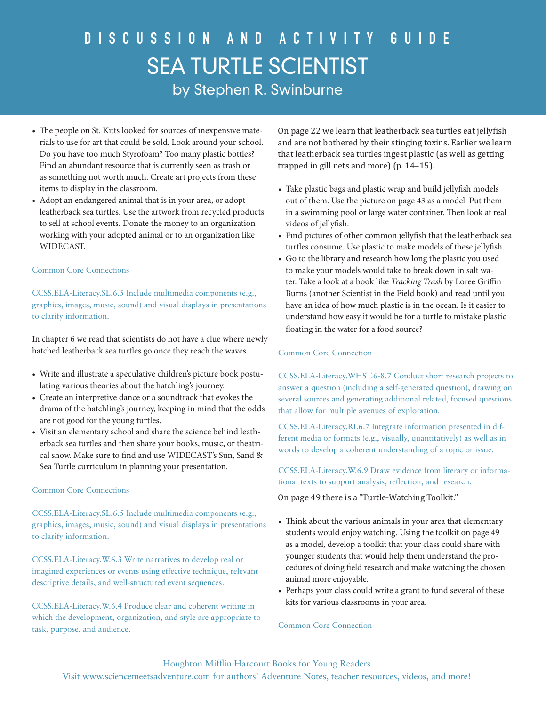- The people on St. Kitts looked for sources of inexpensive materials to use for art that could be sold. Look around your school. Do you have too much Styrofoam? Too many plastic bottles? Find an abundant resource that is currently seen as trash or as something not worth much. Create art projects from these items to display in the classroom.
- Adopt an endangered animal that is in your area, or adopt leatherback sea turtles. Use the artwork from recycled products to sell at school events. Donate the money to an organization working with your adopted animal or to an organization like WIDECAST.

#### Common Core Connections

CCSS.ELA-Literacy.SL.6.5 Include multimedia components (e.g., graphics, images, music, sound) and visual displays in presentations to clarify information.

In chapter 6 we read that scientists do not have a clue where newly hatched leatherback sea turtles go once they reach the waves.

- Write and illustrate a speculative children's picture book postulating various theories about the hatchling's journey.
- Create an interpretive dance or a soundtrack that evokes the drama of the hatchling's journey, keeping in mind that the odds are not good for the young turtles.
- Visit an elementary school and share the science behind leatherback sea turtles and then share your books, music, or theatrical show. Make sure to find and use WIDECAST's Sun, Sand & Sea Turtle curriculum in planning your presentation.

### Common Core Connections

CCSS.ELA-Literacy.SL.6.5 Include multimedia components (e.g., graphics, images, music, sound) and visual displays in presentations to clarify information.

CCSS.ELA-Literacy.W.6.3 Write narratives to develop real or imagined experiences or events using effective technique, relevant descriptive details, and well-structured event sequences.

CCSS.ELA-Literacy.W.6.4 Produce clear and coherent writing in which the development, organization, and style are appropriate to task, purpose, and audience.

On page 22 we learn that leatherback sea turtles eat jellyfish and are not bothered by their stinging toxins. Earlier we learn that leatherback sea turtles ingest plastic (as well as getting trapped in gill nets and more) (p. 14–15).

- Take plastic bags and plastic wrap and build jellyfish models out of them. Use the picture on page 43 as a model. Put them in a swimming pool or large water container. Then look at real videos of jellyfish.
- Find pictures of other common jellyfish that the leatherback sea turtles consume. Use plastic to make models of these jellyfish.
- Go to the library and research how long the plastic you used to make your models would take to break down in salt water. Take a look at a book like *Tracking Trash* by Loree Griffin Burns (another Scientist in the Field book) and read until you have an idea of how much plastic is in the ocean. Is it easier to understand how easy it would be for a turtle to mistake plastic floating in the water for a food source?

#### Common Core Connection

CCSS.ELA-Literacy.WHST.6-8.7 Conduct short research projects to answer a question (including a self-generated question), drawing on several sources and generating additional related, focused questions that allow for multiple avenues of exploration.

CCSS.ELA-Literacy.RI.6.7 Integrate information presented in different media or formats (e.g., visually, quantitatively) as well as in words to develop a coherent understanding of a topic or issue.

CCSS.ELA-Literacy.W.6.9 Draw evidence from literary or informational texts to support analysis, reflection, and research.

On page 49 there is a "Turtle-Watching Toolkit."

- Think about the various animals in your area that elementary students would enjoy watching. Using the toolkit on page 49 as a model, develop a toolkit that your class could share with younger students that would help them understand the procedures of doing field research and make watching the chosen animal more enjoyable.
- Perhaps your class could write a grant to fund several of these kits for various classrooms in your area.

#### Common Core Connection